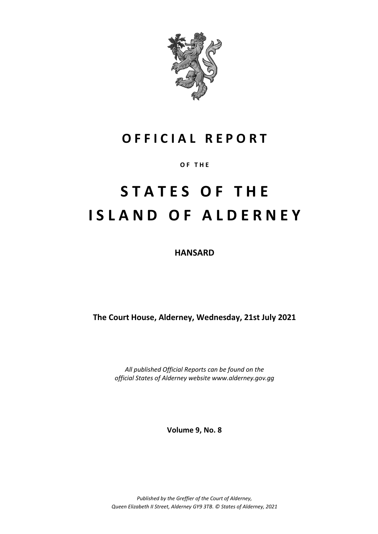

# **O F F I C I A L R E P O R T**

**O F T H E**

# **S T A T E S O F T H E I S L A N D O F A L D E R N E Y**

**HANSARD**

**The Court House, Alderney, Wednesday, 21st July 2021**

*All published Official Reports can be found on the official States of Alderney website www.alderney.gov.gg*

**Volume 9, No. 8**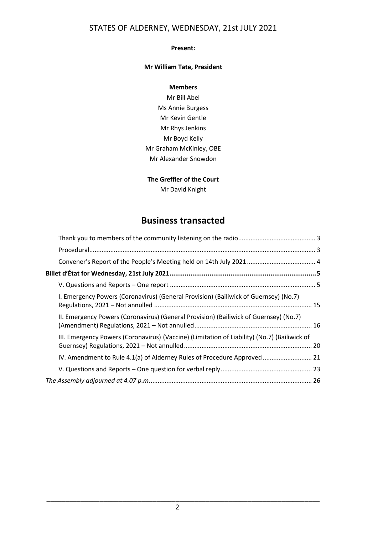#### **Present:**

#### **Mr William Tate, President**

#### **Members**

Mr Bill Abel Ms Annie Burgess Mr Kevin Gentle Mr Rhys Jenkins Mr Boyd Kelly Mr Graham McKinley, OBE Mr Alexander Snowdon

#### **The Greffier of the Court**

Mr David Knight

# **Business transacted**

| I. Emergency Powers (Coronavirus) (General Provision) (Bailiwick of Guernsey) (No.7)         |  |
|----------------------------------------------------------------------------------------------|--|
| II. Emergency Powers (Coronavirus) (General Provision) (Bailiwick of Guernsey) (No.7)        |  |
| III. Emergency Powers (Coronavirus) (Vaccine) (Limitation of Liability) (No.7) (Bailiwick of |  |
| IV. Amendment to Rule 4.1(a) of Alderney Rules of Procedure Approved  21                     |  |
|                                                                                              |  |
|                                                                                              |  |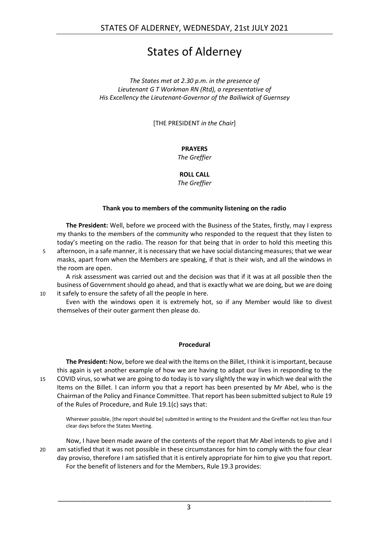# States of Alderney

*The States met at 2.30 p.m. in the presence of Lieutenant G T Workman RN (Rtd), a representative of His Excellency the Lieutenant-Governor of the Bailiwick of Guernsey*

[THE PRESIDENT *in the Chair*]

#### **PRAYERS**

*The Greffier*

**ROLL CALL**

*The Greffier*

#### **Thank you to members of the community listening on the radio**

<span id="page-2-0"></span>**The President:** Well, before we proceed with the Business of the States, firstly, may I express my thanks to the members of the community who responded to the request that they listen to today's meeting on the radio. The reason for that being that in order to hold this meeting this

5 afternoon, in a safe manner, it is necessary that we have social distancing measures; that we wear masks, apart from when the Members are speaking, if that is their wish, and all the windows in the room are open.

A risk assessment was carried out and the decision was that if it was at all possible then the business of Government should go ahead, and that is exactly what we are doing, but we are doing 10 it safely to ensure the safety of all the people in here.

Even with the windows open it is extremely hot, so if any Member would like to divest themselves of their outer garment then please do.

# **Procedural**

<span id="page-2-1"></span>**The President:** Now, before we deal with the Items on the Billet, I think it is important, because this again is yet another example of how we are having to adapt our lives in responding to the 15 COVID virus, so what we are going to do today is to vary slightly the way in which we deal with the Items on the Billet. I can inform you that a report has been presented by Mr Abel, who is the Chairman of the Policy and Finance Committee. That report has been submitted subject to Rule 19 of the Rules of Procedure, and Rule 19.1(c) says that:

Wherever possible, [the report should be] submitted in writing to the President and the Greffier not less than four clear days before the States Meeting.

Now, I have been made aware of the contents of the report that Mr Abel intends to give and I 20 am satisfied that it was not possible in these circumstances for him to comply with the four clear day proviso, therefore I am satisfied that it is entirely appropriate for him to give you that report. For the benefit of listeners and for the Members, Rule 19.3 provides: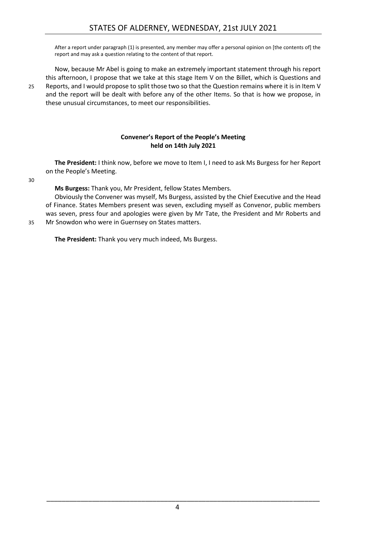After a report under paragraph (1) is presented, any member may offer a personal opinion on [the contents of] the report and may ask a question relating to the content of that report.

Now, because Mr Abel is going to make an extremely important statement through his report this afternoon, I propose that we take at this stage Item V on the Billet, which is Questions and 25 Reports, and I would propose to split those two so that the Question remains where it is in Item V and the report will be dealt with before any of the other Items. So that is how we propose, in these unusual circumstances, to meet our responsibilities.

#### **Convener's Report of the People's Meeting held on 14th July 2021**

<span id="page-3-0"></span>**The President:** I think now, before we move to Item I, I need to ask Ms Burgess for her Report on the People's Meeting.

30

**Ms Burgess:** Thank you, Mr President, fellow States Members.

Obviously the Convener was myself, Ms Burgess, assisted by the Chief Executive and the Head of Finance. States Members present was seven, excluding myself as Convenor, public members was seven, press four and apologies were given by Mr Tate, the President and Mr Roberts and 35 Mr Snowdon who were in Guernsey on States matters.

**The President:** Thank you very much indeed, Ms Burgess.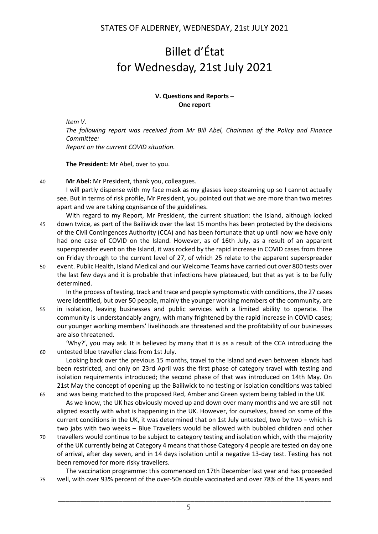# <span id="page-4-0"></span>Billet d'État for Wednesday, 21st July 2021

#### **V. Questions and Reports – One report**

<span id="page-4-1"></span>*Item V.*

*The following report was received from Mr Bill Abel, Chairman of the Policy and Finance Committee:*

*Report on the current COVID situation.*

**The President:** Mr Abel, over to you.

40 **Mr Abel:** Mr President, thank you, colleagues.

I will partly dispense with my face mask as my glasses keep steaming up so I cannot actually see. But in terms of risk profile, Mr President, you pointed out that we are more than two metres apart and we are taking cognisance of the guidelines.

- With regard to my Report, Mr President, the current situation: the Island, although locked 45 down twice, as part of the Bailiwick over the last 15 months has been protected by the decisions of the Civil Contingences Authority (CCA) and has been fortunate that up until now we have only had one case of COVID on the Island. However, as of 16th July, as a result of an apparent superspreader event on the Island, it was rocked by the rapid increase in COVID cases from three on Friday through to the current level of 27, of which 25 relate to the apparent superspreader
- 50 event. Public Health, Island Medical and our Welcome Teams have carried out over 800 tests over the last few days and it is probable that infections have plateaued, but that as yet is to be fully determined.

In the process of testing, track and trace and people symptomatic with conditions, the 27 cases were identified, but over 50 people, mainly the younger working members of the community, are

55 in isolation, leaving businesses and public services with a limited ability to operate. The community is understandably angry, with many frightened by the rapid increase in COVID cases; our younger working members' livelihoods are threatened and the profitability of our businesses are also threatened.

'Why?', you may ask. It is believed by many that it is as a result of the CCA introducing the 60 untested blue traveller class from 1st July.

Looking back over the previous 15 months, travel to the Island and even between islands had been restricted, and only on 23rd April was the first phase of category travel with testing and isolation requirements introduced; the second phase of that was introduced on 14th May. On 21st May the concept of opening up the Bailiwick to no testing or isolation conditions was tabled 65 and was being matched to the proposed Red, Amber and Green system being tabled in the UK.

As we know, the UK has obviously moved up and down over many months and we are still not aligned exactly with what is happening in the UK. However, for ourselves, based on some of the current conditions in the UK, it was determined that on 1st July untested, two by two – which is two jabs with two weeks – Blue Travellers would be allowed with bubbled children and other

70 travellers would continue to be subject to category testing and isolation which, with the majority of the UK currently being at Category 4 means that those Category 4 people are tested on day one of arrival, after day seven, and in 14 days isolation until a negative 13-day test. Testing has not been removed for more risky travellers.

The vaccination programme: this commenced on 17th December last year and has proceeded 75 well, with over 93% percent of the over-50s double vaccinated and over 78% of the 18 years and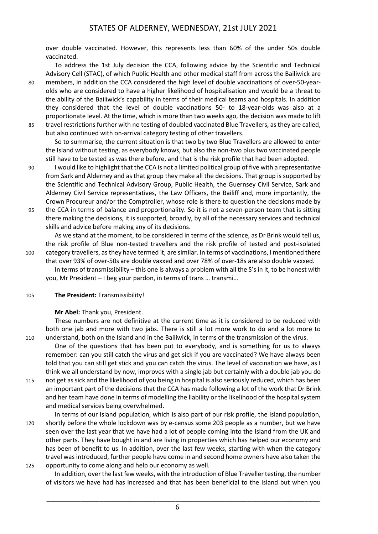over double vaccinated. However, this represents less than 60% of the under 50s double vaccinated.

To address the 1st July decision the CCA, following advice by the Scientific and Technical Advisory Cell (STAC), of which Public Health and other medical staff from across the Bailiwick are

80 members, in addition the CCA considered the high level of double vaccinations of over-50-yearolds who are considered to have a higher likelihood of hospitalisation and would be a threat to the ability of the Bailiwick's capability in terms of their medical teams and hospitals. In addition they considered that the level of double vaccinations 50- to 18-year-olds was also at a proportionate level. At the time, which is more than two weeks ago, the decision was made to lift 85 travel restrictions further with no testing of doubled vaccinated Blue Travellers, as they are called, but also continued with on-arrival category testing of other travellers.

So to summarise, the current situation is that two by two Blue Travellers are allowed to enter the Island without testing, as everybody knows, but also the non-two plus two vaccinated people still have to be tested as was there before, and that is the risk profile that had been adopted.

- 90 I would like to highlight that the CCA is not a limited political group of five with a representative from Sark and Alderney and as that group they make all the decisions. That group is supported by the Scientific and Technical Advisory Group, Public Health, the Guernsey Civil Service, Sark and Alderney Civil Service representatives, the Law Officers, the Bailiff and, more importantly, the Crown Procureur and/or the Comptroller, whose role is there to question the decisions made by
- 95 the CCA in terms of balance and proportionality. So it is not a seven-person team that is sitting there making the decisions, it is supported, broadly, by all of the necessary services and technical skills and advice before making any of its decisions.

As we stand at the moment, to be considered in terms of the science, as Dr Brink would tell us, the risk profile of Blue non-tested travellers and the risk profile of tested and post-isolated 100 category travellers, as they have termed it, are similar. In terms of vaccinations, I mentioned there that over 93% of over-50s are double vaxxed and over 78% of over-18s are also double vaxxed.

In terms of transmissibility – this one is always a problem with all the S's in it, to be honest with you, Mr President – I beg your pardon, in terms of trans … transmi…

105 **The President:** Transmissibility!

#### **Mr Abel:** Thank you, President.

These numbers are not definitive at the current time as it is considered to be reduced with both one jab and more with two jabs. There is still a lot more work to do and a lot more to 110 understand, both on the Island and in the Bailiwick, in terms of the transmission of the virus.

One of the questions that has been put to everybody, and is something for us to always remember: can you still catch the virus and get sick if you are vaccinated? We have always been told that you can still get stick and you can catch the virus. The level of vaccination we have, as I think we all understand by now, improves with a single jab but certainly with a double jab you do

115 not get as sick and the likelihood of you being in hospital is also seriously reduced, which has been an important part of the decisions that the CCA has made following a lot of the work that Dr Brink and her team have done in terms of modelling the liability or the likelihood of the hospital system and medical services being overwhelmed.

In terms of our Island population, which is also part of our risk profile, the Island population, 120 shortly before the whole lockdown was by e-census some 203 people as a number, but we have seen over the last year that we have had a lot of people coming into the Island from the UK and other parts. They have bought in and are living in properties which has helped our economy and has been of benefit to us. In addition, over the last few weeks, starting with when the category travel was introduced, further people have come in and second home owners have also taken the 125 opportunity to come along and help our economy as well.

In addition, over the last few weeks, with the introduction of Blue Traveller testing, the number of visitors we have had has increased and that has been beneficial to the Island but when you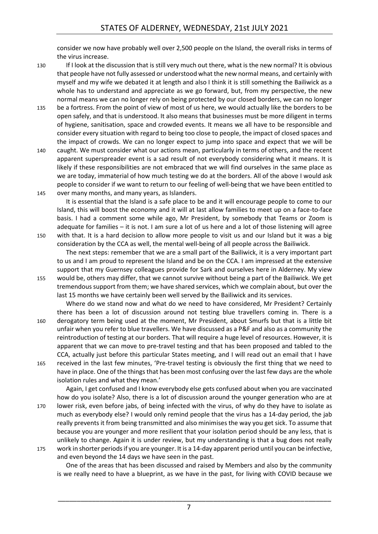consider we now have probably well over 2,500 people on the Island, the overall risks in terms of the virus increase.

- 130 If I look at the discussion that is still very much out there, what is the new normal? It is obvious that people have not fully assessed or understood what the new normal means, and certainly with myself and my wife we debated it at length and also I think it is still something the Bailiwick as a whole has to understand and appreciate as we go forward, but, from my perspective, the new normal means we can no longer rely on being protected by our closed borders, we can no longer
- 135 be a fortress. From the point of view of most of us here, we would actually like the borders to be open safely, and that is understood. It also means that businesses must be more diligent in terms of hygiene, sanitisation, space and crowded events. It means we all have to be responsible and consider every situation with regard to being too close to people, the impact of closed spaces and the impact of crowds. We can no longer expect to jump into space and expect that we will be
- 140 caught. We must consider what our actions mean, particularly in terms of others, and the recent apparent superspreader event is a sad result of not everybody considering what it means. It is likely if these responsibilities are not embraced that we will find ourselves in the same place as we are today, immaterial of how much testing we do at the borders. All of the above I would ask people to consider if we want to return to our feeling of well-being that we have been entitled to 145 over many months, and many years, as Islanders.

It is essential that the Island is a safe place to be and it will encourage people to come to our Island, this will boost the economy and it will at last allow families to meet up on a face-to-face basis. I had a comment some while ago, Mr President, by somebody that Teams or Zoom is adequate for families – it is not. I am sure a lot of us here and a lot of those listening will agree 150 with that. It is a hard decision to allow more people to visit us and our Island but it was a big consideration by the CCA as well, the mental well-being of all people across the Bailiwick.

The next steps: remember that we are a small part of the Bailiwick, it is a very important part to us and I am proud to represent the Island and be on the CCA. I am impressed at the extensive support that my Guernsey colleagues provide for Sark and ourselves here in Alderney. My view 155 would be, others may differ, that we cannot survive without being a part of the Bailiwick. We get

tremendous support from them; we have shared services, which we complain about, but over the last 15 months we have certainly been well served by the Bailiwick and its services.

Where do we stand now and what do we need to have considered, Mr President? Certainly there has been a lot of discussion around not testing blue travellers coming in. There is a 160 derogatory term being used at the moment, Mr President, about Smurfs but that is a little bit unfair when you refer to blue travellers. We have discussed as a P&F and also as a community the reintroduction of testing at our borders. That will require a huge level of resources. However, it is apparent that we can move to pre-travel testing and that has been proposed and tabled to the CCA, actually just before this particular States meeting, and I will read out an email that I have 165 received in the last few minutes, 'Pre-travel testing is obviously the first thing that we need to have in place. One of the things that has been most confusing over the last few days are the whole

isolation rules and what they mean.'

Again, I get confused and I know everybody else gets confused about when you are vaccinated how do you isolate? Also, there is a lot of discussion around the younger generation who are at

170 lower risk, even before jabs, of being infected with the virus, of why do they have to isolate as much as everybody else? I would only remind people that the virus has a 14-day period, the jab really prevents it from being transmitted and also minimises the way you get sick. To assume that because you are younger and more resilient that your isolation period should be any less, that is unlikely to change. Again it is under review, but my understanding is that a bug does not really 175 work in shorter periods if you are younger. It is a 14-day apparent period until you can be infective,

and even beyond the 14 days we have seen in the past.

One of the areas that has been discussed and raised by Members and also by the community is we really need to have a blueprint, as we have in the past, for living with COVID because we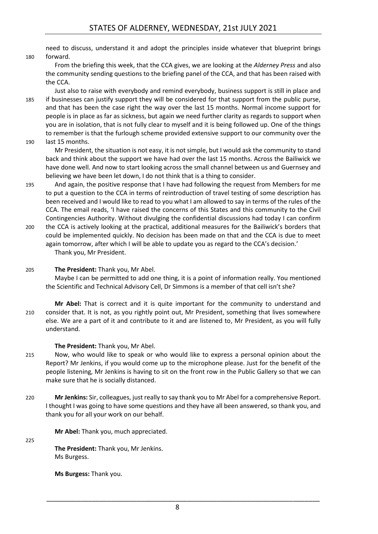need to discuss, understand it and adopt the principles inside whatever that blueprint brings 180 forward.

From the briefing this week, that the CCA gives, we are looking at the *Alderney Press* and also the community sending questions to the briefing panel of the CCA, and that has been raised with the CCA.

Just also to raise with everybody and remind everybody, business support is still in place and 185 if businesses can justify support they will be considered for that support from the public purse, and that has been the case right the way over the last 15 months. Normal income support for people is in place as far as sickness, but again we need further clarity as regards to support when you are in isolation, that is not fully clear to myself and it is being followed up. One of the things to remember is that the furlough scheme provided extensive support to our community over the 190 last 15 months.

Mr President, the situation is not easy, it is not simple, but I would ask the community to stand back and think about the support we have had over the last 15 months. Across the Bailiwick we have done well. And now to start looking across the small channel between us and Guernsey and believing we have been let down, I do not think that is a thing to consider.

- 195 And again, the positive response that I have had following the request from Members for me to put a question to the CCA in terms of reintroduction of travel testing of some description has been received and I would like to read to you what I am allowed to say in terms of the rules of the CCA. The email reads, 'I have raised the concerns of this States and this community to the Civil Contingencies Authority. Without divulging the confidential discussions had today I can confirm
- 200 the CCA is actively looking at the practical, additional measures for the Bailiwick's borders that could be implemented quickly. No decision has been made on that and the CCA is due to meet again tomorrow, after which I will be able to update you as regard to the CCA's decision.' Thank you, Mr President.
- 205 **The President:** Thank you, Mr Abel.

Maybe I can be permitted to add one thing, it is a point of information really. You mentioned the Scientific and Technical Advisory Cell, Dr Simmons is a member of that cell isn't she?

**Mr Abel:** That is correct and it is quite important for the community to understand and 210 consider that. It is not, as you rightly point out, Mr President, something that lives somewhere else. We are a part of it and contribute to it and are listened to, Mr President, as you will fully understand.

**The President:** Thank you, Mr Abel.

- 215 Now, who would like to speak or who would like to express a personal opinion about the Report? Mr Jenkins, if you would come up to the microphone please. Just for the benefit of the people listening, Mr Jenkins is having to sit on the front row in the Public Gallery so that we can make sure that he is socially distanced.
- 220 **Mr Jenkins:** Sir, colleagues, just really to say thank you to Mr Abel for a comprehensive Report. I thought I was going to have some questions and they have all been answered, so thank you, and thank you for all your work on our behalf.

**Mr Abel:** Thank you, much appreciated.

225

**The President:** Thank you, Mr Jenkins. Ms Burgess.

**Ms Burgess:** Thank you.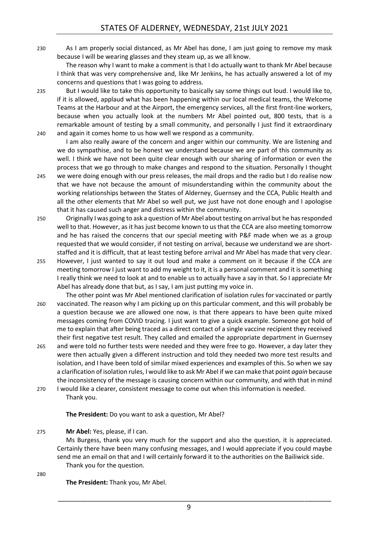230 As I am properly social distanced, as Mr Abel has done, I am just going to remove my mask because I will be wearing glasses and they steam up, as we all know.

The reason why I want to make a comment is that I do actually want to thank Mr Abel because I think that was very comprehensive and, like Mr Jenkins, he has actually answered a lot of my concerns and questions that I was going to address.

235 But I would like to take this opportunity to basically say some things out loud. I would like to, if it is allowed, applaud what has been happening within our local medical teams, the Welcome Teams at the Harbour and at the Airport, the emergency services, all the first front-line workers, because when you actually look at the numbers Mr Abel pointed out, 800 tests, that is a remarkable amount of testing by a small community, and personally I just find it extraordinary 240 and again it comes home to us how well we respond as a community.

I am also really aware of the concern and anger within our community. We are listening and we do sympathise, and to be honest we understand because we are part of this community as well. I think we have not been quite clear enough with our sharing of information or even the process that we go through to make changes and respond to the situation. Personally I thought 245 we were doing enough with our press releases, the mail drops and the radio but I do realise now that we have not because the amount of misunderstanding within the community about the working relationships between the States of Alderney, Guernsey and the CCA, Public Health and all the other elements that Mr Abel so well put, we just have not done enough and I apologise

that it has caused such anger and distress within the community.

- 250 Originally I was going to ask a question of Mr Abel about testing on arrival but he has responded well to that. However, as it has just become known to us that the CCA are also meeting tomorrow and he has raised the concerns that our special meeting with P&F made when we as a group requested that we would consider, if not testing on arrival, because we understand we are shortstaffed and it is difficult, that at least testing before arrival and Mr Abel has made that very clear.
- 255 However, I just wanted to say it out loud and make a comment on it because if the CCA are meeting tomorrow I just want to add my weight to it, it is a personal comment and it is something I really think we need to look at and to enable us to actually have a say in that. So I appreciate Mr Abel has already done that but, as I say, I am just putting my voice in.
- The other point was Mr Abel mentioned clarification of isolation rules for vaccinated or partly 260 vaccinated. The reason why I am picking up on this particular comment, and this will probably be a question because we are allowed one now, is that there appears to have been quite mixed messages coming from COVID tracing. I just want to give a quick example. Someone got hold of me to explain that after being traced as a direct contact of a single vaccine recipient they received their first negative test result. They called and emailed the appropriate department in Guernsey
- 265 and were told no further tests were needed and they were free to go. However, a day later they were then actually given a different instruction and told they needed two more test results and isolation, and I have been told of similar mixed experiences and examples of this. So when we say a clarification of isolation rules, I would like to ask Mr Abel if we can make that point *again* because the inconsistency of the message is causing concern within our community, and with that in mind
- 270 I would like a clearer, consistent message to come out when this information is needed. Thank you.

**The President:** Do you want to ask a question, Mr Abel?

275 **Mr Abel:** Yes, please, if I can.

Ms Burgess, thank you very much for the support and also the question, it is appreciated. Certainly there have been many confusing messages, and I would appreciate if you could maybe send me an email on that and I will certainly forward it to the authorities on the Bailiwick side. Thank you for the question.

280

**The President:** Thank you, Mr Abel.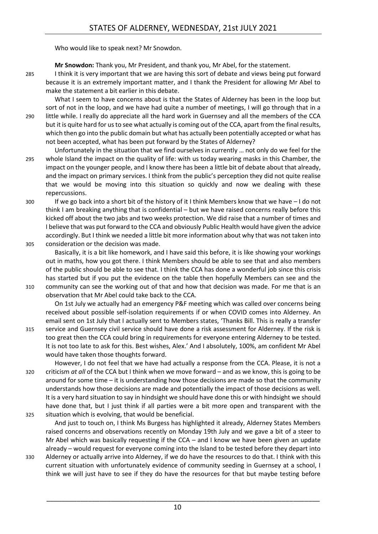Who would like to speak next? Mr Snowdon.

**Mr Snowdon:** Thank you, Mr President, and thank you, Mr Abel, for the statement.

285 I think it is very important that we are having this sort of debate and views being put forward because it is an extremely important matter, and I thank the President for allowing Mr Abel to make the statement a bit earlier in this debate.

What I seem to have concerns about is that the States of Alderney has been in the loop but sort of not in the loop, and we have had quite a number of meetings, I will go through that in a 290 little while. I really do appreciate all the hard work in Guernsey and all the members of the CCA but it is quite hard for us to see what actually is coming out of the CCA, apart from the final results, which then go into the public domain but what has actually been potentially accepted or what has not been accepted, what has been put forward by the States of Alderney?

- Unfortunately in the situation that we find ourselves in currently … not only do we feel for the 295 whole Island the impact on the quality of life: with us today wearing masks in this Chamber, the impact on the younger people, and I know there has been a little bit of debate about that already, and the impact on primary services. I think from the public's perception they did not quite realise that we would be moving into this situation so quickly and now we dealing with these repercussions.
- 300 If we go back into a short bit of the history of it I think Members know that we have I do not think I am breaking anything that is confidential – but we have raised concerns really before this kicked off about the two jabs and two weeks protection. We did raise that a number of times and I believe that was put forward to the CCA and obviously Public Health would have given the advice accordingly. But I think we needed a little bit more information about why that was not taken into 305 consideration or the decision was made.
- 

Basically, it is a bit like homework, and I have said this before, it is like showing your workings out in maths, how you got there. I think Members should be able to see that and also members of the public should be able to see that. I think the CCA has done a wonderful job since this crisis has started but if you put the evidence on the table then hopefully Members can see and the

310 community can see the working out of that and how that decision was made. For me that is an observation that Mr Abel could take back to the CCA.

On 1st July we actually had an emergency P&F meeting which was called over concerns being received about possible self-isolation requirements if or when COVID comes into Alderney. An email sent on 1st July that I actually sent to Members states, 'Thanks Bill. This is really a transfer

315 service and Guernsey civil service should have done a risk assessment for Alderney. If the risk is too great then the CCA could bring in requirements for everyone entering Alderney to be tested. It is not too late to ask for this. Best wishes, Alex.' And I absolutely, 100%, am confident Mr Abel would have taken those thoughts forward.

However, I do not feel that we have had actually a response from the CCA. Please, it is not a 320 criticism *at all* of the CCA but I think when we move forward – and as we know, this is going to be around for some time – it is understanding how those decisions are made so that the community understands how those decisions are made and potentially the impact of those decisions as well. It is a very hard situation to say in hindsight we should have done this or with hindsight we should have done that, but I just think if all parties were a bit more open and transparent with the 325 situation which is evolving, that would be beneficial.

And just to touch on, I think Ms Burgess has highlighted it already, Alderney States Members raised concerns and observations recently on Monday 19th July and we gave a bit of a steer to Mr Abel which was basically requesting if the CCA – and I know we have been given an update already – would request for everyone coming into the Island to be tested before they depart into

330 Alderney or actually arrive into Alderney, if we do have the resources to do that. I think with this current situation with unfortunately evidence of community seeding in Guernsey at a school, I think we will just have to see if they do have the resources for that but maybe testing before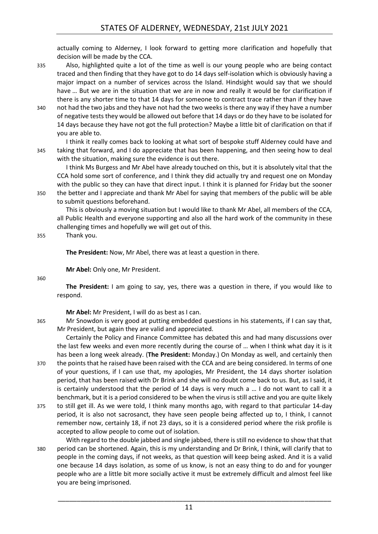actually coming to Alderney, I look forward to getting more clarification and hopefully that decision will be made by the CCA.

- 335 Also, highlighted quite a lot of the time as well is our young people who are being contact traced and then finding that they have got to do 14 days self-isolation which is obviously having a major impact on a number of services across the Island. Hindsight would say that we should have ... But we are in the situation that we are in now and really it would be for clarification if there is any shorter time to that 14 days for someone to contract trace rather than if they have
- 340 not had the two jabs and they have not had the two weeks is there any way if they have a number of negative tests they would be allowed out before that 14 days or do they have to be isolated for 14 days because they have not got the full protection? Maybe a little bit of clarification on that if you are able to.

I think it really comes back to looking at what sort of bespoke stuff Alderney could have and 345 taking that forward, and I do appreciate that has been happening, and then seeing how to deal with the situation, making sure the evidence is out there.

I think Ms Burgess and Mr Abel have already touched on this, but it is absolutely vital that the CCA hold some sort of conference, and I think they did actually try and request one on Monday with the public so they can have that direct input. I think it is planned for Friday but the sooner 350 the better and I appreciate and thank Mr Abel for saying that members of the public will be able to submit questions beforehand.

This is obviously a moving situation but I would like to thank Mr Abel, all members of the CCA, all Public Health and everyone supporting and also all the hard work of the community in these challenging times and hopefully we will get out of this.

355 Thank you.

**The President:** Now, Mr Abel, there was at least a question in there.

**Mr Abel:** Only one, Mr President.

360

**The President:** I am going to say, yes, there was a question in there, if you would like to respond.

**Mr Abel:** Mr President, I will do as best as I can.

365 Mr Snowdon is very good at putting embedded questions in his statements, if I can say that, Mr President, but again they are valid and appreciated.

Certainly the Policy and Finance Committee has debated this and had many discussions over the last few weeks and even more recently during the course of … when I think what day it is it has been a long week already. (**The President:** Monday.) On Monday as well, and certainly then

- 370 the points that he raised have been raised with the CCA and are being considered. In terms of one of your questions, if I can use that, my apologies, Mr President, the 14 days shorter isolation period, that has been raised with Dr Brink and she will no doubt come back to us. But, as I said, it is certainly understood that the period of 14 days is very much a … I do not want to call it a benchmark, but it is a period considered to be when the virus is still active and you are quite likely
- 375 to still get ill. As we were told, I think many months ago, with regard to that particular 14-day period, it is also not sacrosanct, they have seen people being affected up to, I think, I cannot remember now, certainly 18, if not 23 days, so it is a considered period where the risk profile is accepted to allow people to come out of isolation.
- With regard to the double jabbed and single jabbed, there is still no evidence to show that that 380 period can be shortened. Again, this is my understanding and Dr Brink, I think, will clarify that to people in the coming days, if not weeks, as that question will keep being asked. And it is a valid one because 14 days isolation, as some of us know, is not an easy thing to do and for younger people who are a little bit more socially active it must be extremely difficult and almost feel like you are being imprisoned.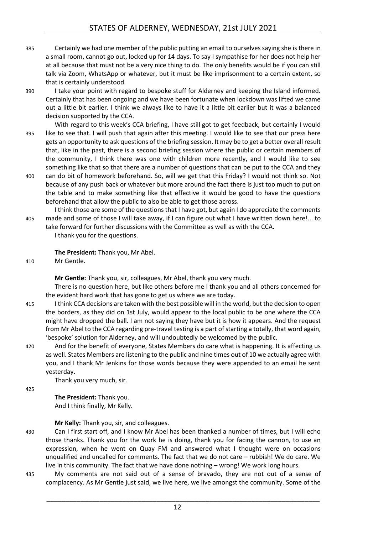- 385 Certainly we had one member of the public putting an email to ourselves saying she is there in a small room, cannot go out, locked up for 14 days. To say I sympathise for her does not help her at all because that must not be a very nice thing to do. The only benefits would be if you can still talk via Zoom, WhatsApp or whatever, but it must be like imprisonment to a certain extent, so that is certainly understood.
- 

390 I take your point with regard to bespoke stuff for Alderney and keeping the Island informed. Certainly that has been ongoing and we have been fortunate when lockdown was lifted we came out a little bit earlier. I think we always like to have it a little bit earlier but it was a balanced decision supported by the CCA.

- With regard to this week's CCA briefing, I have still got to get feedback, but certainly I would 395 like to see that. I will push that again after this meeting. I would like to see that our press here gets an opportunity to ask questions of the briefing session. It may be to get a better overall result that, like in the past, there is a second briefing session where the public or certain members of the community, I think there was one with children more recently, and I would like to see something like that so that there are a number of questions that can be put to the CCA and they 400 can do bit of homework beforehand. So, will we get that this Friday? I would not think so. Not
- because of any push back or whatever but more around the fact there is just too much to put on the table and to make something like that effective it would be good to have the questions beforehand that allow the public to also be able to get those across.

I think those are some of the questions that I have got, but again I do appreciate the comments 405 made and some of those I will take away, if I can figure out what I have written down here!... to

take forward for further discussions with the Committee as well as with the CCA. I thank you for the questions.

**The President:** Thank you, Mr Abel.

410 Mr Gentle.

**Mr Gentle:** Thank you, sir, colleagues, Mr Abel, thank you very much.

There is no question here, but like others before me I thank you and all others concerned for the evident hard work that has gone to get us where we are today.

415 I think CCA decisions are taken with the best possible will in the world, but the decision to open the borders, as they did on 1st July, would appear to the local public to be one where the CCA might have dropped the ball. I am not saying they have but it is how it appears. And the request from Mr Abel to the CCA regarding pre-travel testing is a part of starting a totally, that word again, 'bespoke' solution for Alderney, and will undoubtedly be welcomed by the public.

420 And for the benefit of everyone, States Members do care what is happening. It is affecting us as well. States Members are listening to the public and nine times out of 10 we actually agree with you, and I thank Mr Jenkins for those words because they were appended to an email he sent yesterday.

Thank you very much, sir.

425

**The President:** Thank you. And I think finally, Mr Kelly.

**Mr Kelly:** Thank you, sir, and colleagues.

- 430 Can I first start off, and I know Mr Abel has been thanked a number of times, but I will echo those thanks. Thank you for the work he is doing, thank you for facing the cannon, to use an expression, when he went on Quay FM and answered what I thought were on occasions unqualified and uncalled for comments. The fact that we do not care – rubbish! We do care. We live in this community. The fact that we have done nothing – wrong! We work long hours.
- 435 My comments are not said out of a sense of bravado, they are not out of a sense of complacency. As Mr Gentle just said, we live here, we live amongst the community. Some of the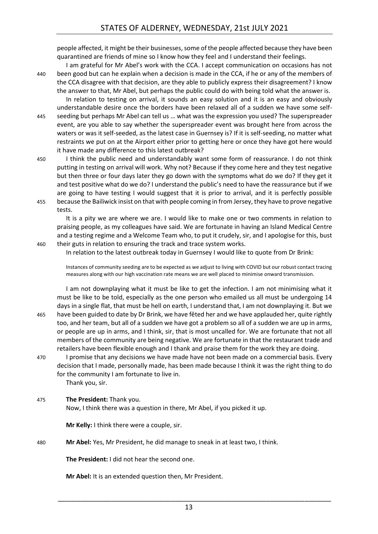# STATES OF ALDERNEY, WEDNESDAY, 21st JULY 2021

people affected, it might be their businesses, some of the people affected because they have been quarantined are friends of mine so I know how they feel and I understand their feelings.

I am grateful for Mr Abel's work with the CCA. I accept communication on occasions has not 440 been good but can he explain when a decision is made in the CCA, if he or any of the members of the CCA disagree with that decision, are they able to publicly express their disagreement? I know the answer to that, Mr Abel, but perhaps the public could do with being told what the answer is.

In relation to testing on arrival, it sounds an easy solution and it is an easy and obviously understandable desire once the borders have been relaxed all of a sudden we have some self-445 seeding but perhaps Mr Abel can tell us … what was the expression you used? The superspreader event, are you able to say whether the superspreader event was brought here from across the waters or was it self-seeded, as the latest case in Guernsey is? If it is self-seeding, no matter what restraints we put on at the Airport either prior to getting here or once they have got here would it have made any difference to this latest outbreak?

450 I think the public need and understandably want some form of reassurance. I do not think putting in testing on arrival will work. Why not? Because if they come here and they test negative but then three or four days later they go down with the symptoms what do we do? If they get it and test positive what do we do? I understand the public's need to have the reassurance but if we are going to have testing I would suggest that it is prior to arrival, and it is perfectly possible 455 because the Bailiwick insist on that with people coming in from Jersey, they have to prove negative tests.

It is a pity we are where we are. I would like to make one or two comments in relation to praising people, as my colleagues have said. We are fortunate in having an Island Medical Centre and a testing regime and a Welcome Team who, to put it crudely, sir, and I apologise for this, bust 460 their guts in relation to ensuring the track and trace system works.

In relation to the latest outbreak today in Guernsey I would like to quote from Dr Brink:

Instances of community seeding are to be expected as we adjust to living with COVID but our robust contact tracing measures along with our high vaccination rate means we are well placed to minimise onward transmission.

I am not downplaying what it must be like to get the infection. I am not minimising what it must be like to be told, especially as the one person who emailed us all must be undergoing 14 days in a single flat, that must be hell on earth, I understand that, I am not downplaying it. But we 465 have been guided to date by Dr Brink, we have fêted her and we have applauded her, quite rightly too, and her team, but all of a sudden we have got a problem so all of a sudden we are up in arms, or people are up in arms, and I think, sir, that is most uncalled for. We are fortunate that not all members of the community are being negative. We are fortunate in that the restaurant trade and retailers have been flexible enough and I thank and praise them for the work they are doing.

470 I promise that any decisions we have made have not been made on a commercial basis. Every decision that I made, personally made, has been made because I think it was the right thing to do for the community I am fortunate to live in.

Thank you, sir.

#### 475 **The President:** Thank you.

Now, I think there was a question in there, Mr Abel, if you picked it up.

**Mr Kelly:** I think there were a couple, sir.

480 **Mr Abel:** Yes, Mr President, he did manage to sneak in at least two, I think.

**The President:** I did not hear the second one.

**Mr Abel:** It is an extended question then, Mr President.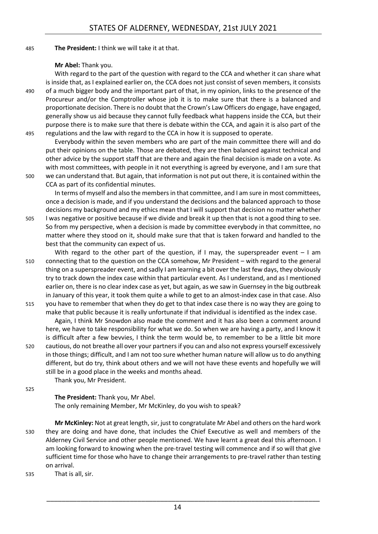485 **The President:** I think we will take it at that.

#### **Mr Abel:** Thank you.

With regard to the part of the question with regard to the CCA and whether it can share what is inside that, as I explained earlier on, the CCA does not just consist of seven members, it consists 490 of a much bigger body and the important part of that, in my opinion, links to the presence of the Procureur and/or the Comptroller whose job it is to make sure that there is a balanced and proportionate decision. There is no doubt that the Crown's Law Officers do engage, have engaged, generally show us aid because they cannot fully feedback what happens inside the CCA, but their purpose there is to make sure that there is debate within the CCA, and again it is also part of the 495 regulations and the law with regard to the CCA in how it is supposed to operate.

Everybody within the seven members who are part of the main committee there will and do put their opinions on the table. Those are debated, they are then balanced against technical and other advice by the support staff that are there and again the final decision is made on a vote. As with most committees, with people in it not everything is agreed by everyone, and I am sure that 500 we can understand that. But again, that information is not put out there, it is contained within the

CCA as part of its confidential minutes.

In terms of myself and also the members in that committee, and I am sure in most committees, once a decision is made, and if you understand the decisions and the balanced approach to those decisions my background and my ethics mean that I will support that decision no matter whether

- 505 I was negative or positive because if we divide and break it up then that is not a good thing to see. So from my perspective, when a decision is made by committee everybody in that committee, no matter where they stood on it, should make sure that that is taken forward and handled to the best that the community can expect of us.
- With regard to the other part of the question, if I may, the superspreader event  $-1$  am 510 connecting that to the question on the CCA somehow, Mr President – with regard to the general thing on a superspreader event, and sadly I am learning a bit over the last few days, they obviously try to track down the index case within that particular event. As I understand, and as I mentioned earlier on, there is no clear index case as yet, but again, as we saw in Guernsey in the big outbreak in January of this year, it took them quite a while to get to an almost-index case in that case. Also
- 515 you have to remember that when they do get to that index case there is no way they are going to make that public because it is really unfortunate if that individual is identified as the index case. Again, I think Mr Snowdon also made the comment and it has also been a comment around here, we have to take responsibility for what we do. So when we are having a party, and I know it is difficult after a few bevvies, I think the term would be, to remember to be a little bit more
- 520 cautious, do not breathe all over your partners if you can and also not express yourself excessively in those things; difficult, and I am not too sure whether human nature will allow us to do anything different, but do try, think about others and we will not have these events and hopefully we will still be in a good place in the weeks and months ahead. Thank you, Mr President.

525

**The President:** Thank you, Mr Abel. The only remaining Member, Mr McKinley, do you wish to speak?

**Mr McKinley:** Not at great length, sir, just to congratulate Mr Abel and others on the hard work 530 they are doing and have done, that includes the Chief Executive as well and members of the Alderney Civil Service and other people mentioned. We have learnt a great deal this afternoon. I am looking forward to knowing when the pre-travel testing will commence and if so will that give sufficient time for those who have to change their arrangements to pre-travel rather than testing on arrival.

535 That is all, sir.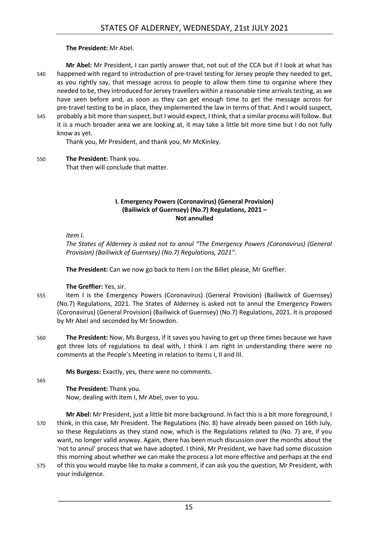#### **The President:** Mr Abel.

**Mr Abel:** Mr President, I can partly answer that, not out of the CCA but if I look at what has 540 happened with regard to introduction of pre-travel testing for Jersey people they needed to get, as you rightly say, that message across to people to allow them time to organise where they needed to be, they introduced for Jersey travellers within a reasonable time arrivals testing, as we have seen before and, as soon as they can get enough time to get the message across for pre-travel testing to be in place, they implemented the law in terms of that. And I would suspect, 545 probably a bit more than suspect, but I would expect, I think, that a similar process will follow. But it is a much broader area we are looking at, it may take a little bit more time but I do not fully know as yet.

Thank you, Mr President, and thank you, Mr McKinley.

550 **The President:** Thank you. That then will conclude that matter.

#### **I. Emergency Powers (Coronavirus) (General Provision) (Bailiwick of Guernsey) (No.7) Regulations, 2021 – Not annulled**

<span id="page-14-0"></span>*Item I.*

*The States of Alderney is asked not to annul "The Emergency Powers (Coronavirus) (General Provision) (Bailiwick of Guernsey) (No.7) Regulations, 2021".*

**The President:** Can we now go back to Item I on the Billet please, Mr Greffier.

#### **The Greffier:** Yes, sir.

- 555 Item I is the Emergency Powers (Coronavirus) (General Provision) (Bailiwick of Guernsey) (No.7) Regulations, 2021. The States of Alderney is asked not to annul the Emergency Powers (Coronavirus) (General Provision) (Bailiwick of Guernsey) (No.7) Regulations, 2021. It is proposed by Mr Abel and seconded by Mr Snowdon.
- 560 **The President:** Now, Ms Burgess, if it saves you having to get up three times because we have got three lots of regulations to deal with, I think I am right in understanding there were no comments at the People's Meeting in relation to Items I, II and III.

**Ms Burgess:** Exactly, yes, there were no comments.

565

**The President:** Thank you.

Now, dealing with Item I, Mr Abel, over to you.

**Mr Abel:** Mr President, just a little bit more background. In fact this is a bit more foreground, I 570 think, in this case, Mr President. The Regulations (No. 8) have already been passed on 16th July, so these Regulations as they stand now, which is the Regulations related to (No. 7) are, if you want, no longer valid anyway. Again, there has been much discussion over the months about the 'not to annul' process that we have adopted. I think, Mr President, we have had some discussion this morning about whether we can make the process a lot more effective and perhaps at the end

575 of this you would maybe like to make a comment, if can ask you the question, Mr President, with your indulgence.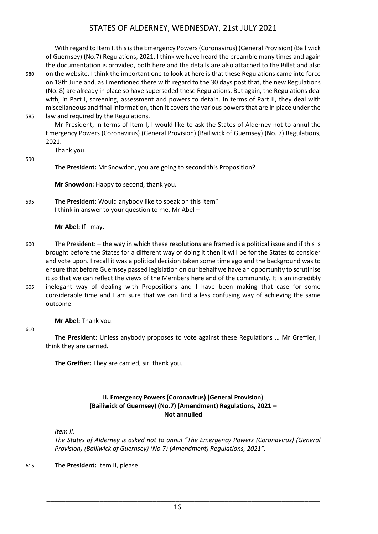With regard to Item I, this is the Emergency Powers (Coronavirus) (General Provision) (Bailiwick of Guernsey) (No.7) Regulations, 2021. I think we have heard the preamble many times and again the documentation is provided, both here and the details are also attached to the Billet and also 580 on the website. I think the important one to look at here is that these Regulations came into force on 18th June and, as I mentioned there with regard to the 30 days post that, the new Regulations (No. 8) are already in place so have superseded these Regulations. But again, the Regulations deal with, in Part I, screening, assessment and powers to detain. In terms of Part II, they deal with miscellaneous and final information, then it covers the various powers that are in place under the 585 law and required by the Regulations.

Mr President, in terms of Item I, I would like to ask the States of Alderney not to annul the Emergency Powers (Coronavirus) (General Provision) (Bailiwick of Guernsey) (No. 7) Regulations, 2021.

Thank you.

590

**The President:** Mr Snowdon, you are going to second this Proposition?

**Mr Snowdon:** Happy to second, thank you.

595 **The President:** Would anybody like to speak on this Item? I think in answer to your question to me, Mr Abel –

**Mr Abel:** If I may.

600 The President: – the way in which these resolutions are framed is a political issue and if this is brought before the States for a different way of doing it then it will be for the States to consider and vote upon. I recall it was a political decision taken some time ago and the background was to ensure that before Guernsey passed legislation on our behalf we have an opportunity to scrutinise it so that we can reflect the views of the Members here and of the community. It is an incredibly 605 inelegant way of dealing with Propositions and I have been making that case for some considerable time and I am sure that we can find a less confusing way of achieving the same outcome.

**Mr Abel:** Thank you.

610

**The President:** Unless anybody proposes to vote against these Regulations … Mr Greffier, I think they are carried.

<span id="page-15-0"></span>**The Greffier:** They are carried, sir, thank you.

# **II. Emergency Powers (Coronavirus) (General Provision) (Bailiwick of Guernsey) (No.7) (Amendment) Regulations, 2021 – Not annulled**

*Item II.*

*The States of Alderney is asked not to annul "The Emergency Powers (Coronavirus) (General Provision) (Bailiwick of Guernsey) (No.7) (Amendment) Regulations, 2021".*

615 **The President:** Item II, please.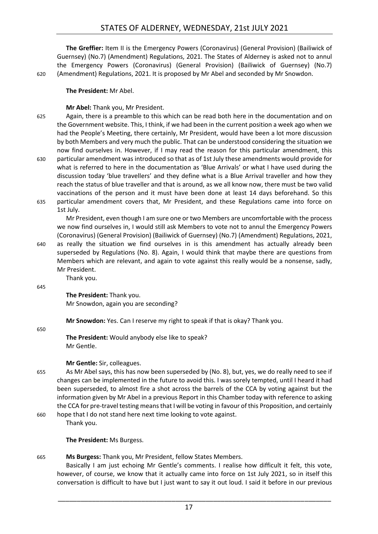# STATES OF ALDERNEY, WEDNESDAY, 21st JULY 2021

**The Greffier:** Item II is the Emergency Powers (Coronavirus) (General Provision) (Bailiwick of Guernsey) (No.7) (Amendment) Regulations, 2021. The States of Alderney is asked not to annul the Emergency Powers (Coronavirus) (General Provision) (Bailiwick of Guernsey) (No.7) 620 (Amendment) Regulations, 2021. It is proposed by Mr Abel and seconded by Mr Snowdon.

**The President:** Mr Abel.

**Mr Abel:** Thank you, Mr President.

625 Again, there is a preamble to this which can be read both here in the documentation and on the Government website. This, I think, if we had been in the current position a week ago when we had the People's Meeting, there certainly, Mr President, would have been a lot more discussion by both Members and very much the public. That can be understood considering the situation we now find ourselves in. However, if I may read the reason for this particular amendment, this 630 particular amendment was introduced so that as of 1st July these amendments would provide for what is referred to here in the documentation as 'Blue Arrivals' or what I have used during the discussion today 'blue travellers' and they define what is a Blue Arrival traveller and how they reach the status of blue traveller and that is around, as we all know now, there must be two valid vaccinations of the person and it must have been done at least 14 days beforehand. So this 635 particular amendment covers that, Mr President, and these Regulations came into force on

1st July.

Mr President, even though I am sure one or two Members are uncomfortable with the process we now find ourselves in, I would still ask Members to vote not to annul the Emergency Powers (Coronavirus) (General Provision) (Bailiwick of Guernsey) (No.7) (Amendment) Regulations, 2021,

640 as really the situation we find ourselves in is this amendment has actually already been superseded by Regulations (No. 8). Again, I would think that maybe there are questions from Members which are relevant, and again to vote against this really would be a nonsense, sadly, Mr President.

Thank you.

645

**The President:** Thank you. Mr Snowdon, again you are seconding?

**Mr Snowdon:** Yes. Can I reserve my right to speak if that is okay? Thank you.

650

**The President:** Would anybody else like to speak? Mr Gentle.

# **Mr Gentle:** Sir, colleagues.

655 As Mr Abel says, this has now been superseded by (No. 8), but, yes, we do really need to see if changes can be implemented in the future to avoid this. I was sorely tempted, until I heard it had been superseded, to almost fire a shot across the barrels of the CCA by voting against but the information given by Mr Abel in a previous Report in this Chamber today with reference to asking the CCA for pre-travel testing means that I will be voting in favour of this Proposition, and certainly

660 hope that I do not stand here next time looking to vote against. Thank you.

**The President:** Ms Burgess.

665 **Ms Burgess:** Thank you, Mr President, fellow States Members.

Basically I am just echoing Mr Gentle's comments. I realise how difficult it felt, this vote, however, of course, we know that it actually came into force on 1st July 2021, so in itself this conversation is difficult to have but I just want to say it out loud. I said it before in our previous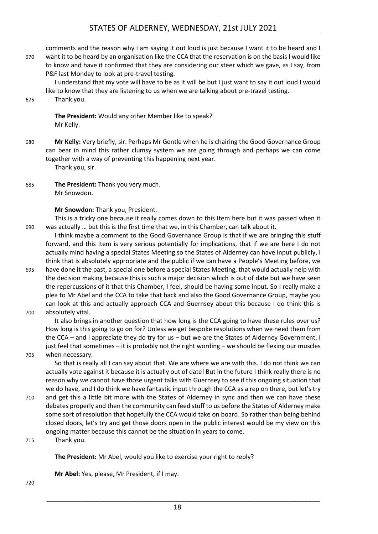comments and the reason why I am saying it out loud is just because I want it to be heard and I 670 want it to be heard by an organisation like the CCA that the reservation is on the basis I would like to know and have it confirmed that they are considering our steer which we gave, as I say, from P&F last Monday to look at pre-travel testing.

I understand that my vote will have to be as it will be but I just want to say it out loud I would like to know that they are listening to us when we are talking about pre-travel testing.

#### 675 Thank you.

**The President:** Would any other Member like to speak? Mr Kelly.

680 **Mr Kelly:** Very briefly, sir. Perhaps Mr Gentle when he is chairing the Good Governance Group can bear in mind this rather clumsy system we are going through and perhaps we can come together with a way of preventing this happening next year. Thank you, sir.

685 **The President:** Thank you very much. Mr Snowdon.

#### **Mr Snowdon:** Thank you, President.

This is a tricky one because it really comes down to this Item here but it was passed when it 690 was actually … but this is the first time that we, in this Chamber, can talk about it.

I think maybe a comment to the Good Governance Group is that if we are bringing this stuff forward, and this Item is very serious potentially for implications, that if we are here I do not actually mind having a special States Meeting so the States of Alderney can have input publicly, I think that is absolutely appropriate and the public if we can have a People's Meeting before, we

695 have done it the past, a special one before a special States Meeting, that would actually help with the decision making because this is such a major decision which is out of date but we have seen the repercussions of it that this Chamber, I feel, should be having some input. So I really make a plea to Mr Abel and the CCA to take that back and also the Good Governance Group, maybe you can look at this and actually approach CCA and Guernsey about this because I do think this is 700 absolutely vital.

It also brings in another question that how long is the CCA going to have these rules over us? How long is this going to go on for? Unless we get bespoke resolutions when we need them from the CCA – and I appreciate they do try for us – but we are the States of Alderney Government. I just feel that sometimes – it is probably not the right wording – we should be flexing our muscles

705 when necessary.

So that is really all I can say about that. We are where we are with this. I do not think we can actually vote against it because it is actually out of date! But in the future I think really there is no reason why we cannot have those urgent talks with Guernsey to see if this ongoing situation that we do have, and I do think we have fantastic input through the CCA as a rep on there, but let's try

710 and get this a little bit more with the States of Alderney in sync and then we can have these debates properly and then the community can feed stuff to us before the States of Alderney make some sort of resolution that hopefully the CCA would take on board. So rather than being behind closed doors, let's try and get those doors open in the public interest would be my view on this ongoing matter because this cannot be the situation in years to come.

715 Thank you.

**The President:** Mr Abel, would you like to exercise your right to reply?

**Mr Abel:** Yes, please, Mr President, if I may.

720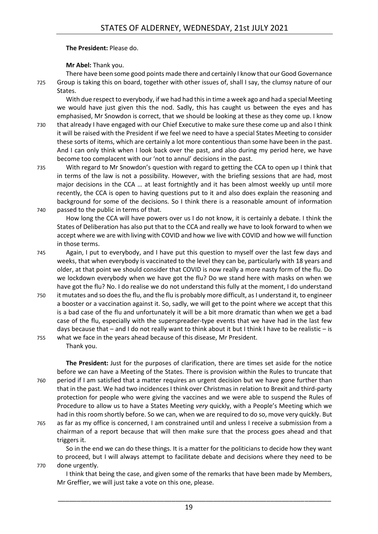**The President:** Please do.

#### **Mr Abel:** Thank you.

There have been some good points made there and certainly I know that our Good Governance 725 Group is taking this on board, together with other issues of, shall I say, the clumsy nature of our States.

With due respect to everybody, if we had had this in time a week ago and had a special Meeting we would have just given this the nod. Sadly, this has caught us between the eyes and has emphasised, Mr Snowdon is correct, that we should be looking at these as they come up. I know 730 that already I have engaged with our Chief Executive to make sure these come up and also I think it will be raised with the President if we feel we need to have a special States Meeting to consider these sorts of items, which are certainly a lot more contentious than some have been in the past. And I can only think when I look back over the past, and also during my period here, we have become too complacent with our 'not to annul' decisions in the past.

735 With regard to Mr Snowdon's question with regard to getting the CCA to open up I think that in terms of the law is not a possibility. However, with the briefing sessions that are had, most major decisions in the CCA … at least fortnightly and it has been almost weekly up until more recently, the CCA is open to having questions put to it and also does explain the reasoning and background for some of the decisions. So I think there is a reasonable amount of information 740 passed to the public in terms of that.

How long the CCA will have powers over us I do not know, it is certainly a debate. I think the States of Deliberation has also put that to the CCA and really we have to look forward to when we accept where we are with living with COVID and how we live with COVID and how we will function in those terms.

745 Again, I put to everybody, and I have put this question to myself over the last few days and weeks, that when everybody is vaccinated to the level they can be, particularly with 18 years and older, at that point we should consider that COVID is now really a more nasty form of the flu. Do we lockdown everybody when we have got the flu? Do we stand here with masks on when we have got the flu? No. I do realise we do not understand this fully at the moment, I do understand

750 it mutates and so does the flu, and the flu is probably more difficult, as I understand it, to engineer a booster or a vaccination against it. So, sadly, we will get to the point where we accept that this is a bad case of the flu and unfortunately it will be a bit more dramatic than when we get a bad case of the flu, especially with the superspreader-type events that we have had in the last few days because that – and I do not really want to think about it but I think I have to be realistic – is

755 what we face in the years ahead because of this disease, Mr President. Thank you.

**The President:** Just for the purposes of clarification, there are times set aside for the notice before we can have a Meeting of the States. There is provision within the Rules to truncate that 760 period if I am satisfied that a matter requires an urgent decision but we have gone further than that in the past. We had two incidences I think over Christmas in relation to Brexit and third-party protection for people who were giving the vaccines and we were able to suspend the Rules of Procedure to allow us to have a States Meeting *very* quickly, with a People's Meeting which we had in this room shortly before. So we can, when we are required to do so, move very quickly. But

765 as far as my office is concerned, I am constrained until and unless I receive a submission from a chairman of a report because that will then make sure that the process goes ahead and that triggers it.

So in the end we can do these things. It is a matter for the politicians to decide how they want to proceed, but I will always attempt to facilitate debate and decisions where they need to be 770 done urgently.

I think that being the case, and given some of the remarks that have been made by Members, Mr Greffier, we will just take a vote on this one, please.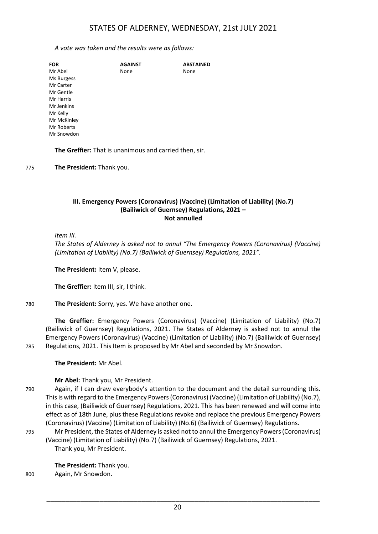*A vote was taken and the results were as follows:*

| <b>FOR</b>  | <b>AGAINST</b> | <b>ABSTAINED</b> |
|-------------|----------------|------------------|
| Mr Abel     | None           | None             |
| Ms Burgess  |                |                  |
| Mr Carter   |                |                  |
| Mr Gentle   |                |                  |
| Mr Harris   |                |                  |
| Mr Jenkins  |                |                  |
| Mr Kelly    |                |                  |
| Mr McKinley |                |                  |
| Mr Roberts  |                |                  |
| Mr Snowdon  |                |                  |
|             |                |                  |

**The Greffier:** That is unanimous and carried then, sir.

775 **The President:** Thank you.

#### <span id="page-19-0"></span>**III. Emergency Powers (Coronavirus) (Vaccine) (Limitation of Liability) (No.7) (Bailiwick of Guernsey) Regulations, 2021 – Not annulled**

*Item III.*

*The States of Alderney is asked not to annul "The Emergency Powers (Coronavirus) (Vaccine) (Limitation of Liability) (No.7) (Bailiwick of Guernsey) Regulations, 2021".*

**The President:** Item V, please.

**The Greffier:** Item III, sir, I think.

780 **The President:** Sorry, yes. We have another one.

**The Greffier:** Emergency Powers (Coronavirus) (Vaccine) (Limitation of Liability) (No.7) (Bailiwick of Guernsey) Regulations, 2021. The States of Alderney is asked not to annul the Emergency Powers (Coronavirus) (Vaccine) (Limitation of Liability) (No.7) (Bailiwick of Guernsey) 785 Regulations, 2021. This Item is proposed by Mr Abel and seconded by Mr Snowdon.

**The President:** Mr Abel.

# **Mr Abel:** Thank you, Mr President.

- 790 Again, if I can draw everybody's attention to the document and the detail surrounding this. This is with regard to the Emergency Powers (Coronavirus) (Vaccine) (Limitation of Liability) (No.7), in this case, (Bailiwick of Guernsey) Regulations, 2021. This has been renewed and will come into effect as of 18th June, plus these Regulations revoke and replace the previous Emergency Powers (Coronavirus) (Vaccine) (Limitation of Liability) (No.6) (Bailiwick of Guernsey) Regulations.
- 795 Mr President, the States of Alderney is asked not to annul the Emergency Powers (Coronavirus) (Vaccine) (Limitation of Liability) (No.7) (Bailiwick of Guernsey) Regulations, 2021. Thank you, Mr President.

**The President:** Thank you. 800 Again, Mr Snowdon.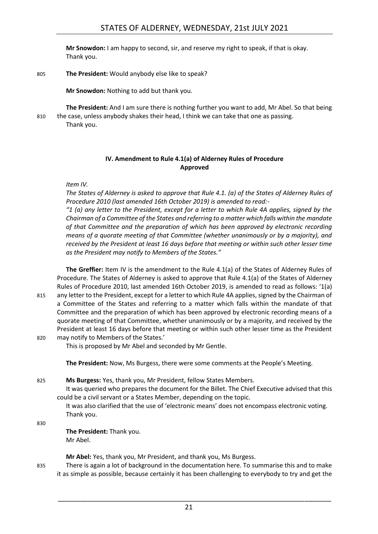**Mr Snowdon:** I am happy to second, sir, and reserve my right to speak, if that is okay. Thank you.

805 **The President:** Would anybody else like to speak?

**Mr Snowdon:** Nothing to add but thank you.

**The President:** And I am sure there is nothing further you want to add, Mr Abel. So that being 810 the case, unless anybody shakes their head, I think we can take that one as passing. Thank you.

> **IV. Amendment to Rule 4.1(a) of Alderney Rules of Procedure Approved**

<span id="page-20-0"></span>*Item IV.*

*The States of Alderney is asked to approve that Rule 4.1. (a) of the States of Alderney Rules of Procedure 2010 (last amended 16th October 2019) is amended to read:-*

*"1 (a) any letter to the President, except for a letter to which Rule 4A applies, signed by the Chairman of a Committee of the States and referring to a matter which falls within the mandate of that Committee and the preparation of which has been approved by electronic recording means of a quorate meeting of that Committee (whether unanimously or by a majority), and received by the President at least 16 days before that meeting or within such other lesser time as the President may notify to Members of the States."*

**The Greffier:** Item IV is the amendment to the Rule 4.1(a) of the States of Alderney Rules of Procedure. The States of Alderney is asked to approve that Rule 4.1(a) of the States of Alderney Rules of Procedure 2010, last amended 16th October 2019, is amended to read as follows: '1(a) 815 any letter to the President, except for a letter to which Rule 4A applies, signed by the Chairman of a Committee of the States and referring to a matter which falls within the mandate of that Committee and the preparation of which has been approved by electronic recording means of a quorate meeting of that Committee, whether unanimously or by a majority, and received by the President at least 16 days before that meeting or within such other lesser time as the President 820 may notify to Members of the States.'

This is proposed by Mr Abel and seconded by Mr Gentle.

**The President:** Now, Ms Burgess, there were some comments at the People's Meeting.

825 **Ms Burgess:** Yes, thank you, Mr President, fellow States Members.

It was queried who prepares the document for the Billet. The Chief Executive advised that this could be a civil servant or a States Member, depending on the topic.

It was also clarified that the use of 'electronic means' does not encompass electronic voting. Thank you.

830

**The President:** Thank you. Mr Abel.

**Mr Abel:** Yes, thank you, Mr President, and thank you, Ms Burgess.

835 There is again a lot of background in the documentation here. To summarise this and to make it as simple as possible, because certainly it has been challenging to everybody to try and get the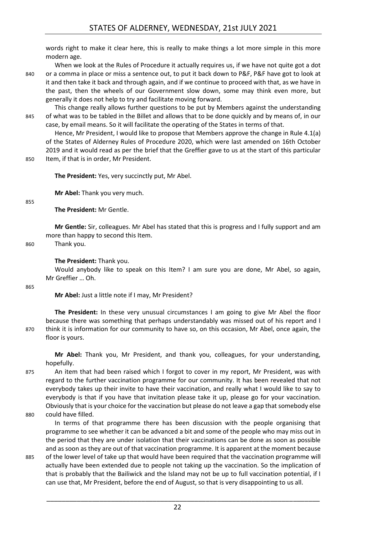words right to make it clear here, this is really to make things a lot more simple in this more modern age.

When we look at the Rules of Procedure it actually requires us, if we have not quite got a dot 840 or a comma in place or miss a sentence out, to put it back down to P&F, P&F have got to look at it and then take it back and through again, and if we continue to proceed with that, as we have in the past, then the wheels of our Government slow down, some may think even more, but generally it does not help to try and facilitate moving forward.

This change really allows further questions to be put by Members against the understanding 845 of what was to be tabled in the Billet and allows that to be done quickly and by means of, in our case, by email means. So it will facilitate the operating of the States in terms of that.

Hence, Mr President, I would like to propose that Members approve the change in Rule 4.1(a) of the States of Alderney Rules of Procedure 2020, which were last amended on 16th October 2019 and it would read as per the brief that the Greffier gave to us at the start of this particular 850 Item, if that is in order, Mr President.

**The President:** Yes, very succinctly put, Mr Abel.

**Mr Abel:** Thank you very much.

855

**The President:** Mr Gentle.

**Mr Gentle:** Sir, colleagues. Mr Abel has stated that this is progress and I fully support and am more than happy to second this Item.

860 Thank you.

#### **The President:** Thank you.

Would anybody like to speak on this Item? I am sure you are done, Mr Abel, so again, Mr Greffier … Oh.

865

**Mr Abel:** Just a little note if I may, Mr President?

**The President:** In these very unusual circumstances I am going to give Mr Abel the floor because there was something that perhaps understandably was missed out of his report and I 870 think it is information for our community to have so, on this occasion, Mr Abel, once again, the floor is yours.

**Mr Abel:** Thank you, Mr President, and thank you, colleagues, for your understanding, hopefully.

- 875 An item that had been raised which I forgot to cover in my report, Mr President, was with regard to the further vaccination programme for our community. It has been revealed that not everybody takes up their invite to have their vaccination, and really what I would like to say to everybody is that if you have that invitation please take it up, please go for your vaccination. Obviously that is your choice for the vaccination but please do not leave a gap that somebody else 880 could have filled.
- 

In terms of that programme there has been discussion with the people organising that programme to see whether it can be advanced a bit and some of the people who may miss out in the period that they are under isolation that their vaccinations can be done as soon as possible and as soon as they are out of that vaccination programme. It is apparent at the moment because

885 of the lower level of take up that would have been required that the vaccination programme will actually have been extended due to people not taking up the vaccination. So the implication of that is probably that the Bailiwick and the Island may not be up to full vaccination potential, if I can use that, Mr President, before the end of August, so that is very disappointing to us all.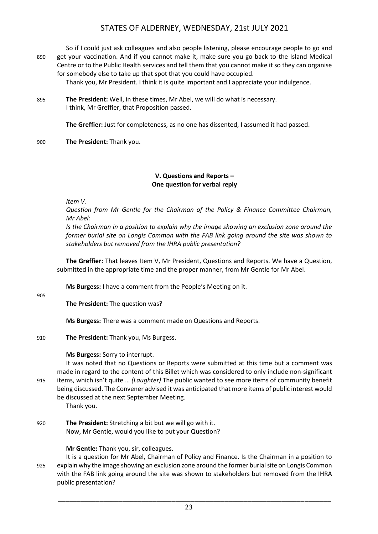# STATES OF ALDERNEY, WEDNESDAY, 21st JULY 2021

So if I could just ask colleagues and also people listening, please encourage people to go and 890 get your vaccination. And if you cannot make it, make sure you go back to the Island Medical Centre or to the Public Health services and tell them that you cannot make it so they can organise for somebody else to take up that spot that you could have occupied.

Thank you, Mr President. I think it is quite important and I appreciate your indulgence.

895 **The President:** Well, in these times, Mr Abel, we will do what is necessary. I think, Mr Greffier, that Proposition passed.

**The Greffier:** Just for completeness, as no one has dissented, I assumed it had passed.

900 **The President:** Thank you.

#### **V. Questions and Reports – One question for verbal reply**

<span id="page-22-0"></span>*Item V.*

*Question from Mr Gentle for the Chairman of the Policy & Finance Committee Chairman, Mr Abel:*

*Is the Chairman in a position to explain why the image showing an exclusion zone around the former burial site on Longis Common with the FAB link going around the site was shown to stakeholders but removed from the IHRA public presentation?*

**The Greffier:** That leaves Item V, Mr President, Questions and Reports. We have a Question, submitted in the appropriate time and the proper manner, from Mr Gentle for Mr Abel.

**Ms Burgess:** I have a comment from the People's Meeting on it.

905

**The President:** The question was?

**Ms Burgess:** There was a comment made on Questions and Reports.

910 **The President:** Thank you, Ms Burgess.

**Ms Burgess:** Sorry to interrupt.

It was noted that no Questions or Reports were submitted at this time but a comment was made in regard to the content of this Billet which was considered to only include non-significant 915 items, which isn't quite … *(Laughter)* The public wanted to see more items of community benefit being discussed. The Convener advised it was anticipated that more items of public interest would be discussed at the next September Meeting.

Thank you.

920 **The President:** Stretching a bit but we will go with it. Now, Mr Gentle, would you like to put your Question?

**Mr Gentle:** Thank you, sir, colleagues.

It is a question for Mr Abel, Chairman of Policy and Finance. Is the Chairman in a position to 925 explain why the image showing an exclusion zone around the former burial site on Longis Common with the FAB link going around the site was shown to stakeholders but removed from the IHRA public presentation?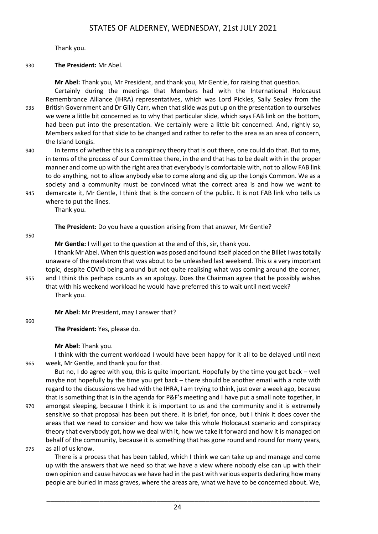Thank you.

#### 930 **The President:** Mr Abel.

**Mr Abel:** Thank you, Mr President, and thank you, Mr Gentle, for raising that question.

Certainly during the meetings that Members had with the International Holocaust Remembrance Alliance (IHRA) representatives, which was Lord Pickles, Sally Sealey from the 935 British Government and Dr Gilly Carr, when that slide was put up on the presentation to ourselves we were a little bit concerned as to why that particular slide, which says FAB link on the bottom, had been put into the presentation. We certainly were a little bit concerned. And, rightly so, Members asked for that slide to be changed and rather to refer to the area as an area of concern, the Island Longis.

940 In terms of whether this is a conspiracy theory that is out there, one could do that. But to me, in terms of the process of our Committee there, in the end that has to be dealt with in the proper manner and come up with the right area that everybody is comfortable with, not to allow FAB link to do anything, not to allow anybody else to come along and dig up the Longis Common. We as a society and a community must be convinced what the correct area is and how we want to 945 demarcate it, Mr Gentle, I think that is the concern of the public. It is not FAB link who tells us

where to put the lines. Thank you.

**The President:** Do you have a question arising from that answer, Mr Gentle?

#### 950

**Mr Gentle:** I will get to the question at the end of this, sir, thank you.

I thank Mr Abel. When this question was posed and found itself placed on the Billet I was totally unaware of the maelstrom that was about to be unleashed last weekend. This *is* a very important topic, despite COVID being around but not quite realising what was coming around the corner, 955 and I think this perhaps counts as an apology. Does the Chairman agree that he possibly wishes

that with his weekend workload he would have preferred this to wait until next week? Thank you.

**Mr Abel:** Mr President, may I answer that?

960

**The President:** Yes, please do.

**Mr Abel:** Thank you.

I think with the current workload I would have been happy for it all to be delayed until next 965 week, Mr Gentle, and thank you for that.

But no, I do agree with you, this is quite important. Hopefully by the time you get back – well maybe not hopefully by the time you get back – there should be another email with a note with regard to the discussions we had with the IHRA, I am trying to think, just over a week ago, because that is something that is in the agenda for P&F's meeting and I have put a small note together, in

- 970 amongst sleeping, because I think it is important to us and the community and it is extremely sensitive so that proposal has been put there. It is brief, for once, but I think it does cover the areas that we need to consider and how we take this whole Holocaust scenario and conspiracy theory that everybody got, how we deal with it, how we take it forward and how it is managed on behalf of the community, because it is something that has gone round and round for many years, 975 as all of us know.
- 

There is a process that has been tabled, which I think we can take up and manage and come up with the answers that we need so that we have a view where nobody else can up with their own opinion and cause havoc as we have had in the past with various experts declaring how many people are buried in mass graves, where the areas are, what we have to be concerned about. We,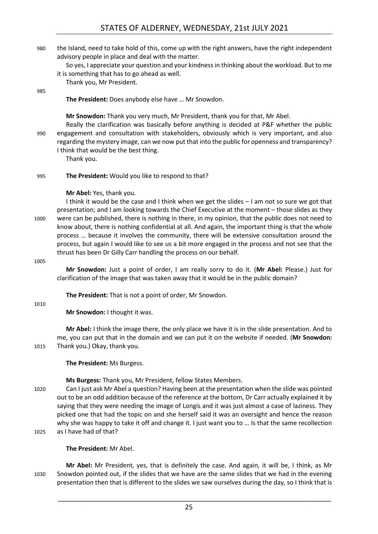- 980 the Island, need to take hold of this, come up with the right answers, have the right independent advisory people in place and deal with the matter.
	- So yes, I appreciate your question and your kindness in thinking about the workload. But to me it is something that has to go ahead as well.

Thank you, Mr President.

985

**The President:** Does anybody else have … Mr Snowdon.

**Mr Snowdon:** Thank you very much, Mr President, thank you for that, Mr Abel.

Really the clarification was basically before anything is decided at P&F whether the public 990 engagement and consultation with stakeholders, obviously which is very important, and also regarding the mystery image, can we now put that into the public for openness and transparency? I think that would be the best thing.

Thank you.

995 **The President:** Would you like to respond to that?

# **Mr Abel:** Yes, thank you.

I think it would be the case and I think when we get the slides – I am not so sure we got that presentation; and I am looking towards the Chief Executive at the moment – those slides as they 1000 were can be published, there is nothing in there, in my opinion, that the public does not need to know about, there is nothing confidential at all. And again, the important thing is that the whole process … because it involves the community, there will be extensive consultation around the process, but again I would like to see us a bit more engaged in the process and not see that the thrust has been Dr Gilly Carr handling the process on our behalf.

1005

**Mr Snowdon:** Just a point of order, I am really sorry to do it. (**Mr Abel:** Please.) Just for clarification of the image that was taken away that it would be in the public domain?

**The President:** That is not a point of order, Mr Snowdon.

1010

# **Mr Snowdon:** I thought it was.

**Mr Abel:** I think the image there, the only place we have it is in the slide presentation. And to me, you can put that in the domain and we can put it on the website if needed. (**Mr Snowdon:** 1015 Thank you.) Okay, thank you.

**The President:** Ms Burgess.

**Ms Burgess:** Thank you, Mr President, fellow States Members.

1020 Can I just ask Mr Abel a question? Having been at the presentation when the slide was pointed out to be an odd addition because of the reference at the bottom, Dr Carr actually explained it by saying that they were needing the image of Longis and it was just almost a case of laziness. They picked one that had the topic on and she herself said it was an oversight and hence the reason why she was happy to take it off and change it. I just want you to ... Is that the same recollection 1025 as I have had of that?

**The President:** Mr Abel.

**Mr Abel:** Mr President, yes, that is definitely the case. And again, it will be, I think, as Mr 1030 Snowdon pointed out, if the slides that we have are the same slides that we had in the evening presentation then that is different to the slides we saw ourselves during the day, so I think that is